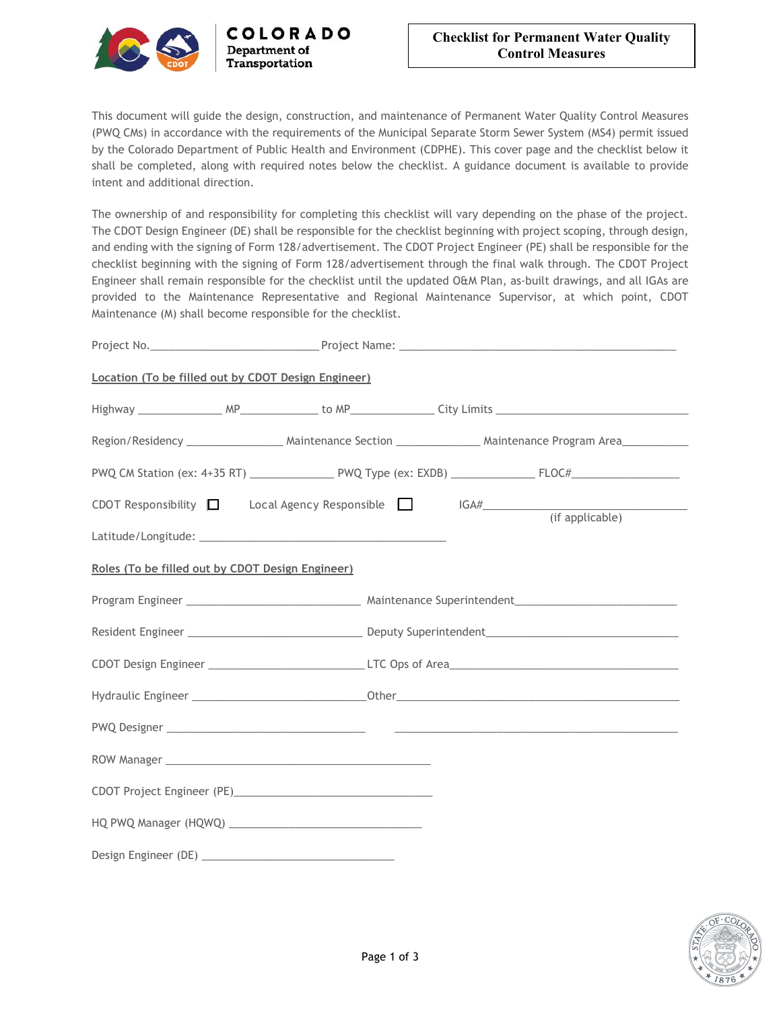

This document will guide the design, construction, and maintenance of Permanent Water Quality Control Measures (PWQ CMs) in accordance with the requirements of the Municipal Separate Storm Sewer System (MS4) permit issued by the Colorado Department of Public Health and Environment (CDPHE). This cover page and the checklist below it shall be completed, along with required notes below the checklist. A guidance document is available to provide intent and additional direction.

COLORADO

Department of Transportation

The ownership of and responsibility for completing this checklist will vary depending on the phase of the project. The CDOT Design Engineer (DE) shall be responsible for the checklist beginning with project scoping, through design, and ending with the signing of Form 128/advertisement. The CDOT Project Engineer (PE) shall be responsible for the checklist beginning with the signing of Form 128/advertisement through the final walk through. The CDOT Project Engineer shall remain responsible for the checklist until the updated O&M Plan, as-built drawings, and all IGAs are provided to the Maintenance Representative and Regional Maintenance Supervisor, at which point, CDOT Maintenance (M) shall become responsible for the checklist.

| Location (To be filled out by CDOT Design Engineer) |  |  |                                                                                 |  |
|-----------------------------------------------------|--|--|---------------------------------------------------------------------------------|--|
|                                                     |  |  |                                                                                 |  |
|                                                     |  |  |                                                                                 |  |
|                                                     |  |  |                                                                                 |  |
|                                                     |  |  | CDOT Responsibility $\Box$ Local Agency Responsible $\Box$ IGA# (if applicable) |  |
| Roles (To be filled out by CDOT Design Engineer)    |  |  |                                                                                 |  |
|                                                     |  |  |                                                                                 |  |
|                                                     |  |  |                                                                                 |  |
|                                                     |  |  |                                                                                 |  |
|                                                     |  |  |                                                                                 |  |
|                                                     |  |  |                                                                                 |  |
|                                                     |  |  |                                                                                 |  |
|                                                     |  |  |                                                                                 |  |
|                                                     |  |  |                                                                                 |  |
|                                                     |  |  |                                                                                 |  |

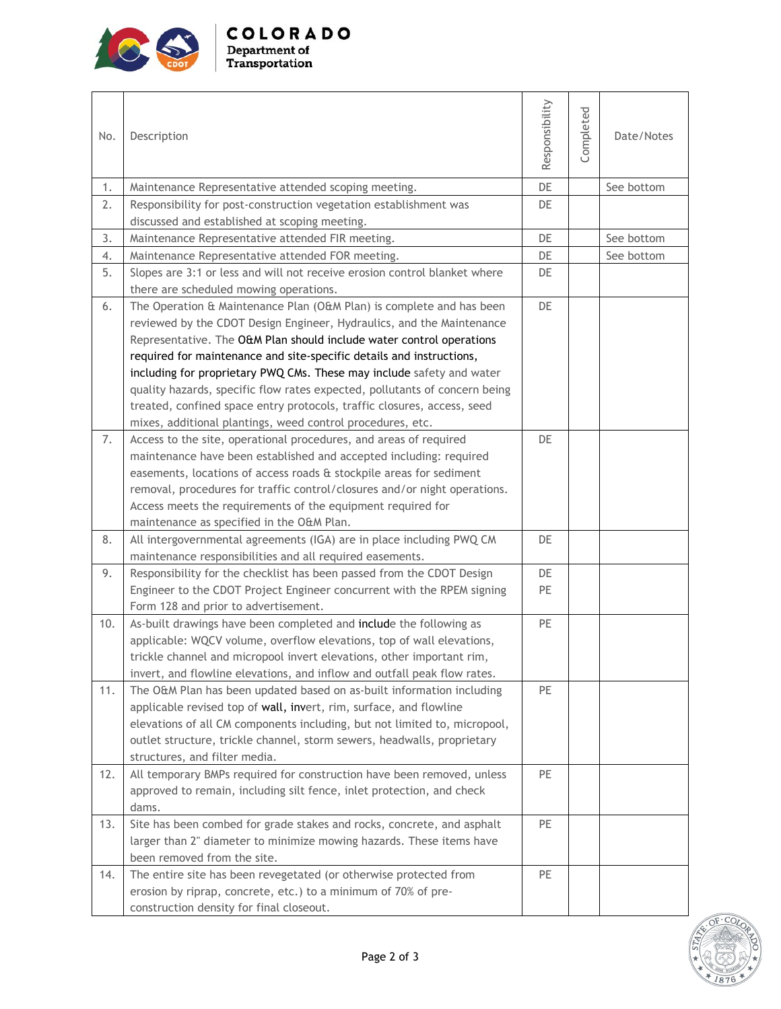

| No. | Description                                                                                                                                     | Responsibility | Completed | Date/Notes |
|-----|-------------------------------------------------------------------------------------------------------------------------------------------------|----------------|-----------|------------|
| 1.  | Maintenance Representative attended scoping meeting.                                                                                            | DE             |           | See bottom |
| 2.  | Responsibility for post-construction vegetation establishment was                                                                               | DE             |           |            |
|     | discussed and established at scoping meeting.                                                                                                   |                |           |            |
| 3.  | Maintenance Representative attended FIR meeting.                                                                                                | DE             |           | See bottom |
| 4.  | Maintenance Representative attended FOR meeting.                                                                                                | DE             |           | See bottom |
| 5.  | Slopes are 3:1 or less and will not receive erosion control blanket where                                                                       | DE             |           |            |
|     | there are scheduled mowing operations.                                                                                                          |                |           |            |
| 6.  | The Operation & Maintenance Plan (O&M Plan) is complete and has been                                                                            | DE             |           |            |
|     | reviewed by the CDOT Design Engineer, Hydraulics, and the Maintenance                                                                           |                |           |            |
|     | Representative. The O&M Plan should include water control operations                                                                            |                |           |            |
|     | required for maintenance and site-specific details and instructions,                                                                            |                |           |            |
|     | including for proprietary PWQ CMs. These may include safety and water                                                                           |                |           |            |
|     | quality hazards, specific flow rates expected, pollutants of concern being                                                                      |                |           |            |
|     | treated, confined space entry protocols, traffic closures, access, seed                                                                         |                |           |            |
|     | mixes, additional plantings, weed control procedures, etc.                                                                                      |                |           |            |
| 7.  | Access to the site, operational procedures, and areas of required                                                                               | DE             |           |            |
|     | maintenance have been established and accepted including: required                                                                              |                |           |            |
|     | easements, locations of access roads & stockpile areas for sediment                                                                             |                |           |            |
|     | removal, procedures for traffic control/closures and/or night operations.                                                                       |                |           |            |
|     | Access meets the requirements of the equipment required for                                                                                     |                |           |            |
|     | maintenance as specified in the O&M Plan.                                                                                                       |                |           |            |
| 8.  | All intergovernmental agreements (IGA) are in place including PWQ CM                                                                            | DE             |           |            |
|     | maintenance responsibilities and all required easements.                                                                                        |                |           |            |
| 9.  | Responsibility for the checklist has been passed from the CDOT Design                                                                           | DE             |           |            |
|     | Engineer to the CDOT Project Engineer concurrent with the RPEM signing                                                                          | PE             |           |            |
|     | Form 128 and prior to advertisement.                                                                                                            |                |           |            |
| 10. | As-built drawings have been completed and include the following as                                                                              | PE             |           |            |
|     | applicable: WQCV volume, overflow elevations, top of wall elevations,                                                                           |                |           |            |
|     | trickle channel and micropool invert elevations, other important rim,                                                                           |                |           |            |
|     | invert, and flowline elevations, and inflow and outfall peak flow rates.                                                                        |                |           |            |
| 11. | The O&M Plan has been updated based on as-built information including                                                                           | PE             |           |            |
|     | applicable revised top of wall, invert, rim, surface, and flowline<br>elevations of all CM components including, but not limited to, micropool, |                |           |            |
|     | outlet structure, trickle channel, storm sewers, headwalls, proprietary                                                                         |                |           |            |
|     | structures, and filter media.                                                                                                                   |                |           |            |
| 12. | All temporary BMPs required for construction have been removed, unless                                                                          | PE             |           |            |
|     | approved to remain, including silt fence, inlet protection, and check                                                                           |                |           |            |
|     | dams.                                                                                                                                           |                |           |            |
| 13. | Site has been combed for grade stakes and rocks, concrete, and asphalt                                                                          | PE             |           |            |
|     | larger than 2" diameter to minimize mowing hazards. These items have                                                                            |                |           |            |
|     | been removed from the site.                                                                                                                     |                |           |            |
| 14. | The entire site has been revegetated (or otherwise protected from                                                                               | PE             |           |            |
|     | erosion by riprap, concrete, etc.) to a minimum of 70% of pre-                                                                                  |                |           |            |



construction density for final closeout.